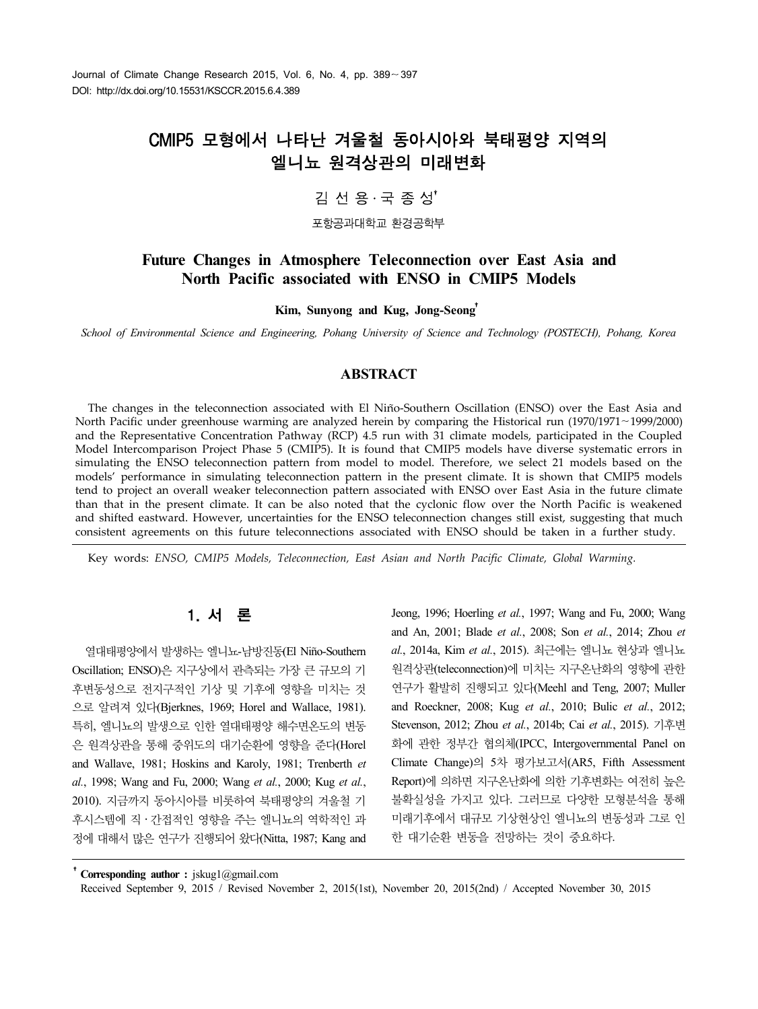# CMIP5 모형에서 나타난 겨울철 동아시아와 북태평양 지역의 엘니뇨 원격상관의 미래변화

# 김 선 용․국 종 성†

포항공과대학교 환경공학부

## **Future Changes in Atmosphere Teleconnection over East Asia and North Pacific associated with ENSO in CMIP5 Models**

**Kim, Sunyong and Kug, Jong-Seong**†

*School of Environmental Science and Engineering, Pohang University of Science and Technology (POSTECH), Pohang, Korea*

#### **ABSTRACT**

The changes in the teleconnection associated with El Niño-Southern Oscillation (ENSO) over the East Asia and North Pacific under greenhouse warming are analyzed herein by comparing the Historical run (1970/1971∼1999/2000) and the Representative Concentration Pathway (RCP) 4.5 run with 31 climate models, participated in the Coupled Model Intercomparison Project Phase 5 (CMIP5). It is found that CMIP5 models have diverse systematic errors in simulating the ENSO teleconnection pattern from model to model. Therefore, we select 21 models based on the models' performance in simulating teleconnection pattern in the present climate. It is shown that CMIP5 models tend to project an overall weaker teleconnection pattern associated with ENSO over East Asia in the future climate than that in the present climate. It can be also noted that the cyclonic flow over the North Pacific is weakened and shifted eastward. However, uncertainties for the ENSO teleconnection changes still exist, suggesting that much consistent agreements on this future teleconnections associated with ENSO should be taken in a further study.

Key words: *ENSO, CMIP5 Models, Teleconnection, East Asian and North Pacific Climate, Global Warming.*

## 1. 서 론

열대태평양에서 발생하는 엘니뇨-남방진동(El Niño-Southern Oscillation; ENSO)은 지구상에서 관측되는 가장 큰 규모의 기 후변동성으로 전지구적인 기상 및 기후에 영향을 미치는 것 으로 알려져 있다(Bjerknes, 1969; Horel and Wallace, 1981). 특히, 엘니뇨의 발생으로 인한 열대태평양 해수면온도의 변동 은 원격상관을 통해 중위도의 대기순환에 영향을 준다(Horel and Wallave, 1981; Hoskins and Karoly, 1981; Trenberth *et al.*, 1998; Wang and Fu, 2000; Wang *et al.*, 2000; Kug *et al.*, 2010). 지금까지 동아시아를 비롯하여 북태평양의 겨울철 기 후시스템에 직․간접적인 영향을 주는 엘니뇨의 역학적인 과 정에 대해서 많은 연구가 진행되어 왔다(Nitta, 1987; Kang and Jeong, 1996; Hoerling *et al.*, 1997; Wang and Fu, 2000; Wang and An, 2001; Blade *et al.*, 2008; Son *et al.*, 2014; Zhou *et al.*, 2014a, Kim *et al.*, 2015). 최근에는 엘니뇨 현상과 엘니뇨 원격상관(teleconnection)에 미치는 지구온난화의 영향에 관한 연구가 활발히 진행되고 있다(Meehl and Teng, 2007; Muller and Roeckner, 2008; Kug *et al.*, 2010; Bulic *et al.*, 2012; Stevenson, 2012; Zhou *et al.*, 2014b; Cai *et al.*, 2015). 기후변 화에 관한 정부간 협의체(IPCC, Intergovernmental Panel on Climate Change)의 5차 평가보고서(AR5, Fifth Assessment Report)에 의하면 지구온난화에 의한 기후변화는 여전히 높은 불확실성을 가지고 있다. 그러므로 다양한 모형분석을 통해 미래기후에서 대규모 기상현상인 엘니뇨의 변동성과 그로 인 한 대기순환 변동을 전망하는 것이 중요하다.

†**Corresponding author :** jskug1@gmail.com

Received September 9, 2015 / Revised November 2, 2015(1st), November 20, 2015(2nd) / Accepted November 30, 2015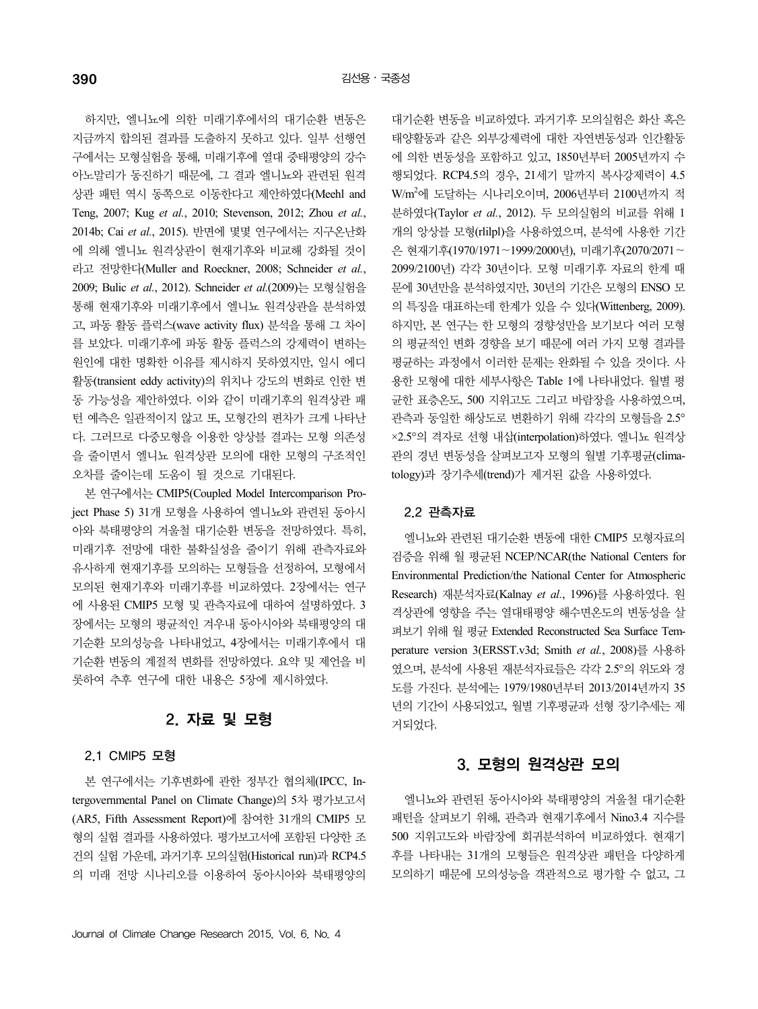하지만, 엘니뇨에 의한 미래기후에서의 대기순환 변동은 지금까지 합의된 결과를 도출하지 못하고 있다. 일부 선행연 구에서는 모형실험을 통해, 미래기후에 열대 중태평양의 강수 아노말리가 동진하기 때문에, 그 결과 엘니뇨와 관련된 원격 상관 패턴 역시 동쪽으로 이동한다고 제안하였다(Meehl and Teng, 2007; Kug *et al.*, 2010; Stevenson, 2012; Zhou *et al.*, 2014b; Cai *et al.*, 2015). 반면에 몇몇 연구에서는 지구온난화 에 의해 엘니뇨 원격상관이 현재기후와 비교해 강화될 것이 라고 전망한다(Muller and Roeckner, 2008; Schneider *et al.*, 2009; Bulic *et al.*, 2012). Schneider *et al.*(2009)는 모형실험을 통해 현재기후와 미래기후에서 엘니뇨 원격상관을 분석하였 고, 파동 활동 플럭스(wave activity flux) 분석을 통해 그 차이 를 보았다. 미래기후에 파동 활동 플럭스의 강제력이 변하는 원인에 대한 명확한 이유를 제시하지 못하였지만, 일시 에디 활동(transient eddy activity)의 위치나 강도의 변화로 인한 변 동 가능성을 제안하였다. 이와 같이 미래기후의 원격상관 패 턴 예측은 일관적이지 않고 또, 모형간의 편차가 크게 나타난 다. 그러므로 다중모형을 이용한 앙상블 결과는 모형 의존성 을 줄이면서 엘니뇨 원격상관 모의에 대한 모형의 구조적인 오차를 줄이는데 도움이 될 것으로 기대된다.

본 연구에서는 CMIP5(Coupled Model Intercomparison Project Phase 5) 31개 모형을 사용하여 엘니뇨와 관련된 동아시 아와 북태평양의 겨울철 대기순환 변동을 전망하였다. 특히, 미래기후 전망에 대한 불확실성을 줄이기 위해 관측자료와 유사하게 현재기후를 모의하는 모형들을 선정하여, 모형에서 모의된 현재기후와 미래기후를 비교하였다. 2장에서는 연구 에 사용된 CMIP5 모형 및 관측자료에 대하여 설명하였다. 3 장에서는 모형의 평균적인 겨우내 동아시아와 북태평양의 대 기순환 모의성능을 나타내었고, 4장에서는 미래기후에서 대 기순환 변동의 계절적 변화를 전망하였다. 요약 및 제언을 비 롯하여 추후 연구에 대한 내용은 5장에 제시하였다.

# 2. 자료 및 모형

#### 2.1 CMIP5 모형

본 연구에서는 기후변화에 관한 정부간 협의체(IPCC, Intergovernmental Panel on Climate Change)의 5차 평가보고서 (AR5, Fifth Assessment Report)에 참여한 31개의 CMIP5 모 형의 실험 결과를 사용하였다. 평가보고서에 포함된 다양한 조 건의 실험 가운데, 과거기후 모의실험(Historical run)과 RCP4.5 의 미래 전망 시나리오를 이용하여 동아시아와 북태평양의

대기순환 변동을 비교하였다. 과거기후 모의실험은 화산 혹은 태양활동과 같은 외부강제력에 대한 자연변동성과 인간활동 에 의한 변동성을 포함하고 있고, 1850년부터 2005년까지 수 행되었다. RCP4.5의 경우, 21세기 말까지 복사강제력이 4.5 W/m<sup>2</sup>에 도달하는 시나리오이며, 2006년부터 2100년까지 적 분하였다(Taylor *et al.*, 2012). 두 모의실험의 비교를 위해 1 개의 앙상블 모형(rlilpl)을 사용하였으며, 분석에 사용한 기간 은 현재기후(1970/1971∼1999/2000년), 미래기후(2070/2071∼ 2099/2100년) 각각 30년이다. 모형 미래기후 자료의 한계 때 문에 30년만을 분석하였지만, 30년의 기간은 모형의 ENSO 모 의 특징을 대표하는데 한계가 있을 수 있다(Wittenberg, 2009). 하지만, 본 연구는 한 모형의 경향성만을 보기보다 여러 모형 의 평균적인 변화 경향을 보기 때문에 여러 가지 모형 결과를 평균하는 과정에서 이러한 문제는 완화될 수 있을 것이다. 사 용한 모형에 대한 세부사항은 Table 1에 나타내었다. 월별 평 균한 표층온도, 500 지위고도 그리고 바람장을 사용하였으며, 관측과 동일한 해상도로 변환하기 위해 각각의 모형들을 2.5° ×2.5°의 격자로 선형 내삽(interpolation)하였다. 엘니뇨 원격상 관의 경년 변동성을 살펴보고자 모형의 월별 기후평균(climatology)과 장기추세(trend)가 제거된 값을 사용하였다.

#### 2.2 관측자료

엘니뇨와 관련된 대기순환 변동에 대한 CMIP5 모형자료의 검증을 위해 월 평균된 NCEP/NCAR(the National Centers for Environmental Prediction/the National Center for Atmospheric Research) 재분석자료(Kalnay *et al.*, 1996)를 사용하였다. 원 격상관에 영향을 주는 열대태평양 해수면온도의 변동성을 살 펴보기 위해 월 평균 Extended Reconstructed Sea Surface Temperature version 3(ERSST.v3d; Smith *et al.*, 2008)를 사용하 였으며, 분석에 사용된 재분석자료들은 각각 2.5°의 위도와 경 도를 가진다. 분석에는 1979/1980년부터 2013/2014년까지 35 년의 기간이 사용되었고, 월별 기후평균과 선형 장기추세는 제 거되었다.

## 3. 모형의 원격상관 모의

엘니뇨와 관련된 동아시아와 북태평양의 겨울철 대기순환 패턴을 살펴보기 위해, 관측과 현재기후에서 Nino3.4 지수를 500 지위고도와 바람장에 회귀분석하여 비교하였다. 현재기 후를 나타내는 31개의 모형들은 원격상관 패턴을 다양하게 모의하기 때문에 모의성능을 객관적으로 평가할 수 없고, 그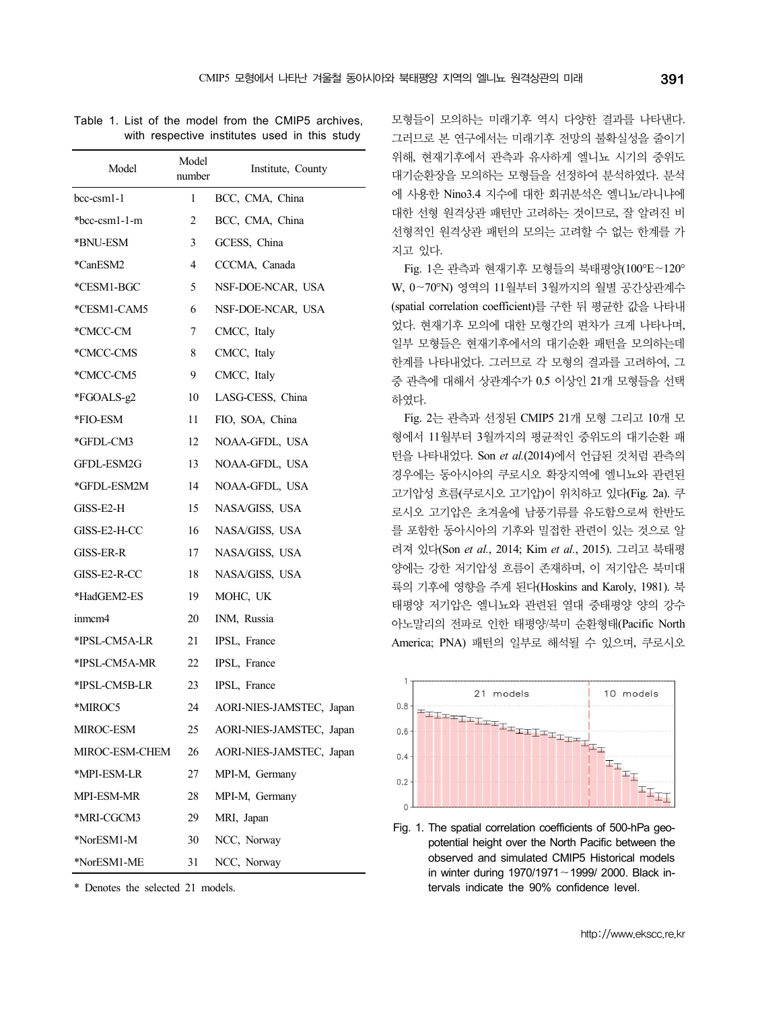Table 1. List of the model from the CMIP5 archives, with respective institutes used in this study

| Model          | Model<br>number | Institute, County        | $\frac{1}{2}$<br>Ľ   |
|----------------|-----------------|--------------------------|----------------------|
| bcc-csm1-1     | 1               | BCC, CMA, China          | Ċ                    |
| *bcc-csm1-1-m  | 2               | BCC, CMA, China          | τ                    |
| *BNU-ESM       | 3               | GCESS, China             | $\lambda$<br>7       |
| *CanESM2       | 4               | CCCMA, Canada            |                      |
| *CESM1-BGC     | 5               | NSF-DOE-NCAR, USA        | V                    |
| *CESM1-CAM5    | 6               | NSF-DOE-NCAR, USA        | 6                    |
| *CMCC-CM       | 7               | CMCC, Italy              | Ş                    |
| *CMCC-CMS      | 8               | CMCC, Italy              | ç<br>Š               |
| *CMCC-CM5      | 9               | CMCC, Italy              | $\frac{5}{3}$        |
| *FGOALS-g2     | 10              | LASG-CESS, China         | ਟੋ                   |
| *FIO-ESM       | 11              | FIO, SOA, China          |                      |
| *GFDL-CM3      | 12              | NOAA-GFDL, USA           | ਟੋ                   |
| GFDL-ESM2G     | 13              | NOAA-GFDL, USA           | Ę                    |
| *GFDL-ESM2M    | 14              | NOAA-GFDL, USA           | Ζ<br>Ĵ               |
| GISS-E2-H      | 15              | NASA/GISS, USA           | Ξ                    |
| GISS-E2-H-CC   | 16              | NASA/GISS, USA           | rildi                |
| GISS-ER-R      | 17              | NASA/GISS, USA           | $\bar{t}$            |
| GISS-E2-R-CC   | 18              | NASA/GISS, USA           | $\frac{c}{\epsilon}$ |
| *HadGEM2-ES    | 19              | MOHC, UK                 | š<br>E               |
| immcm4         | 20              | INM, Russia              | Ċ                    |
| *IPSL-CM5A-LR  | 21              | IPSL, France             | F                    |
| *IPSL-CM5A-MR  | 22              | IPSL, France             |                      |
| *IPSL-CM5B-LR  | 23              | IPSL, France             |                      |
| *MIROC5        | 24              | AORI-NIES-JAMSTEC, Japan |                      |
| MIROC-ESM      | 25              | AORI-NIES-JAMSTEC, Japan |                      |
| MIROC-ESM-CHEM | 26              | AORI-NIES-JAMSTEC, Japan |                      |
| *MPI-ESM-LR    | 27              | MPI-M, Germany           |                      |
| MPI-ESM-MR     | 28              | MPI-M, Germany           |                      |
| *MRI-CGCM3     | 29              | MRI, Japan               | F                    |
| *NorESM1-M     | 30              | NCC, Norway              |                      |
| *NorESM1-ME    | 31              | NCC, Norway              |                      |

\* Denotes the selected 21 models.

모형들이 모의하는 미래기후 역시 다양한 결과를 나타낸다. 그러므로 본 연구에서는 미래기후 전망의 불확실성을 줄이기 위해, 현재기후에서 관측과 유사하게 엘니뇨 시기의 중위도 대기순환장을 모의하는 모형들을 선정하여 분석하였다. 분석 에 사용한 Nino3.4 지수에 대한 회귀분석은 엘니뇨/라니냐에 대한 선형 원격상관 패턴만 고려하는 것이므로, 잘 알려진 비 선형적인 원격상관 패턴의 모의는 고려할 수 없는 한계를 가 지고 있다.

Fig. 1은 관측과 현재기후 모형들의 북태평양(100°E∼120° W, 0∼70°N) 영역의 11월부터 3월까지의 월별 공간상관계수 (spatial correlation coefficient)를 구한 뒤 평균한 값을 나타내 었다. 현재기후 모의에 대한 모형간의 편차가 크게 나타나며, 일부 모형들은 현재기후에서의 대기순환 패턴을 모의하는데 한계를 나타내었다. 그러므로 각 모형의 결과를 고려하여, 그 중 관측에 대해서 상관계수가 0.5 이상인 21개 모형들을 선택 하였다.

Fig. 2는 관측과 선정된 CMIP5 21개 모형 그리고 10개 모 형에서 11월부터 3월까지의 평균적인 중위도의 대기순환 패 턴을 나타내었다. Son *et al.*(2014)에서 언급된 것처럼 관측의 경우에는 동아시아의 쿠로시오 확장지역에 엘니뇨와 관련된 고기압성 흐름(쿠로시오 고기압)이 위치하고 있다(Fig. 2a). 쿠 로시오 고기압은 초겨울에 남풍기류를 유도함으로써 한반도 를 포함한 동아시아의 기후와 밀접한 관련이 있는 것으로 알 려져 있다(Son *et al.*, 2014; Kim *et al.*, 2015). 그리고 북태평 양에는 강한 저기압성 흐름이 존재하며, 이 저기압은 북미대 륙의 기후에 영향을 주게 된다(Hoskins and Karoly, 1981). 북 태평양 저기압은 엘니뇨와 관련된 열대 중태평양 양의 강수 아노말리의 전파로 인한 태평양/북미 순환형태(Pacific North America; PNA) 패턴의 일부로 해석될 수 있으며, 쿠로시오



Fig. 1. The spatial correlation coefficients of 500-hPa geopotential height over the North Pacific between the observed and simulated CMIP5 Historical models in winter during 1970/1971∼1999/ 2000. Black intervals indicate the 90% confidence level.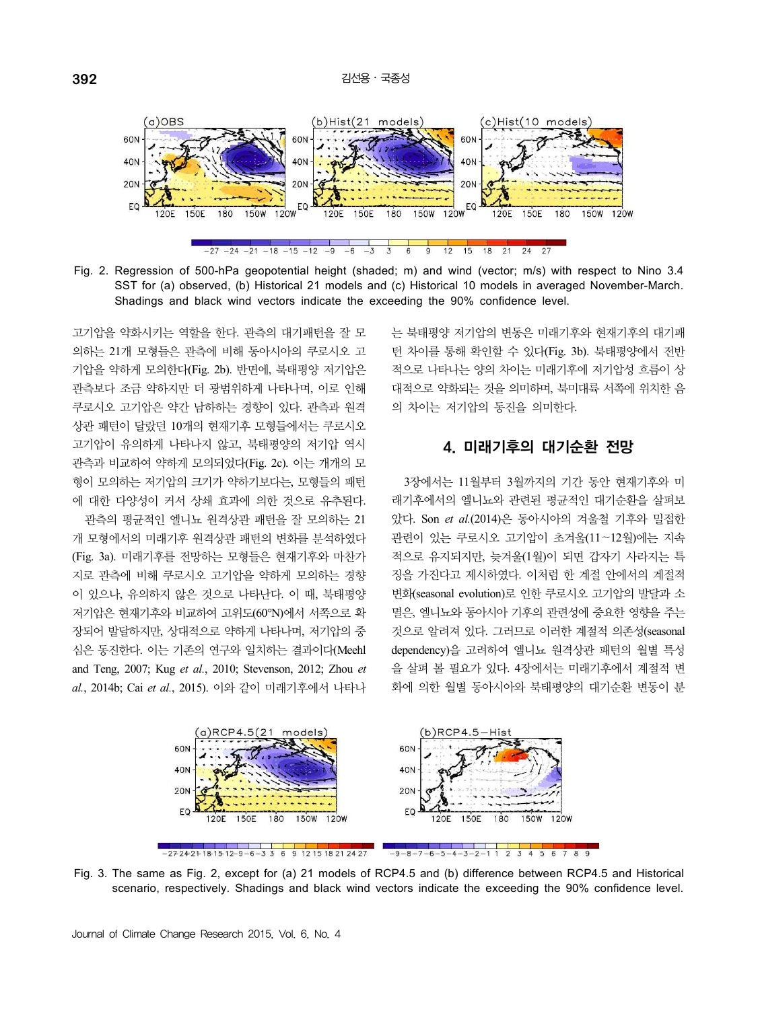

Fig. 2. Regression of 500-hPa geopotential height (shaded; m) and wind (vector; m/s) with respect to Nino 3.4 SST for (a) observed, (b) Historical 21 models and (c) Historical 10 models in averaged November-March. Shadings and black wind vectors indicate the exceeding the 90% confidence level.

고기압을 약화시키는 역할을 한다. 관측의 대기패턴을 잘 모 의하는 21개 모형들은 관측에 비해 동아시아의 쿠로시오 고 기압을 약하게 모의한다(Fig. 2b). 반면에, 북태평양 저기압은 관측보다 조금 약하지만 더 광범위하게 나타나며, 이로 인해 쿠로시오 고기압은 약간 남하하는 경향이 있다. 관측과 원격 상관 패턴이 달랐던 10개의 현재기후 모형들에서는 쿠로시오 고기압이 유의하게 나타나지 않고, 북태평양의 저기압 역시 관측과 비교하여 약하게 모의되었다(Fig. 2c). 이는 개개의 모 형이 모의하는 저기압의 크기가 약하기보다는, 모형들의 패턴 에 대한 다양성이 커서 상쇄 효과에 의한 것으로 유추된다.

관측의 평균적인 엘니뇨 원격상관 패턴을 잘 모의하는 21 개 모형에서의 미래기후 원격상관 패턴의 변화를 분석하였다 (Fig. 3a). 미래기후를 전망하는 모형들은 현재기후와 마찬가 지로 관측에 비해 쿠로시오 고기압을 약하게 모의하는 경향 이 있으나, 유의하지 않은 것으로 나타난다. 이 때, 북태평양 저기압은 현재기후와 비교하여 고위도(60°N)에서 서쪽으로 확 장되어 발달하지만, 상대적으로 약하게 나타나며, 저기압의 중 심은 동진한다. 이는 기존의 연구와 일치하는 결과이다(Meehl and Teng, 2007; Kug *et al.*, 2010; Stevenson, 2012; Zhou *et al.*, 2014b; Cai *et al.*, 2015). 이와 같이 미래기후에서 나타나

는 북태평양 저기압의 변동은 미래기후와 현재기후의 대기패 턴 차이를 통해 확인할 수 있다(Fig. 3b). 북태평양에서 전반 적으로 나타나는 양의 차이는 미래기후에 저기압성 흐름이 상 대적으로 약화되는 것을 의미하며, 북미대륙 서쪽에 위치한 음 의 차이는 저기압의 동진을 의미한다.

## 4. 미래기후의 대기순환 전망

3장에서는 11월부터 3월까지의 기간 동안 현재기후와 미 래기후에서의 엘니뇨와 관련된 평균적인 대기순환을 살펴보 았다. Son *et al.*(2014)은 동아시아의 겨울철 기후와 밀접한 관련이 있는 쿠로시오 고기압이 초겨울(11∼12월)에는 지속 적으로 유지되지만, 늦겨울(1월)이 되면 갑자기 사라지는 특 징을 가진다고 제시하였다. 이처럼 한 계절 안에서의 계절적 변화(seasonal evolution)로 인한 쿠로시오 고기압의 발달과 소 멸은, 엘니뇨와 동아시아 기후의 관련성에 중요한 영향을 주는 것으로 알려져 있다. 그러므로 이러한 계절적 의존성(seasonal dependency)을 고려하여 엘니뇨 원격상관 패턴의 월별 특성 을 살펴 볼 필요가 있다. 4장에서는 미래기후에서 계절적 변 화에 의한 월별 동아시아와 북태평양의 대기순환 변동이 분



Fig. 3. The same as Fig. 2, except for (a) 21 models of RCP4.5 and (b) difference between RCP4.5 and Historical scenario, respectively. Shadings and black wind vectors indicate the exceeding the 90% confidence level.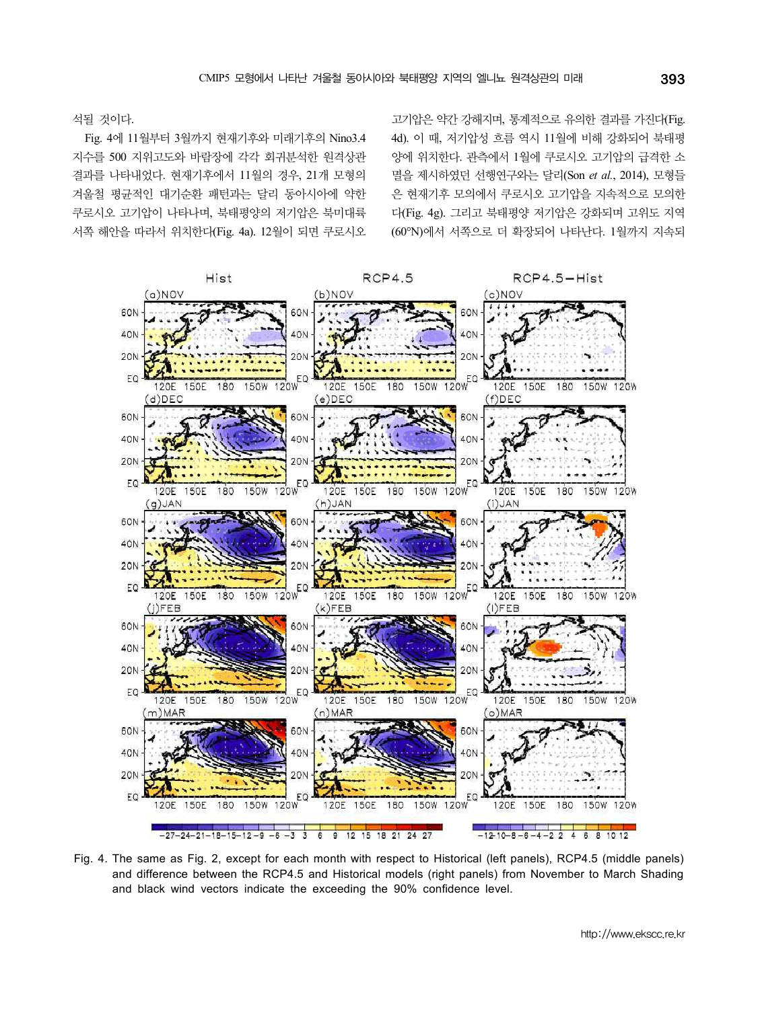고기압은 약간 강해지며, 통계적으로 유의한 결과를 가진다(Fig. 4d). 이 때, 저기압성 흐름 역시 11월에 비해 강화되어 북태평 양에 위치한다. 관측에서 1월에 쿠로시오 고기압의 급격한 소 멸을 제시하였던 선행연구와는 달리(Son *et al.*, 2014), 모형들 은 현재기후 모의에서 쿠로시오 고기압을 지속적으로 모의한 다(Fig. 4g). 그리고 북태평양 저기압은 강화되며 고위도 지역 (60°N)에서 서쪽으로 더 확장되어 나타난다. 1월까지 지속되

석될 것이다. Fig. 4에 11월부터 3월까지 현재기후와 미래기후의 Nino3.4 지수를 500 지위고도와 바람장에 각각 회귀분석한 원격상관 결과를 나타내었다. 현재기후에서 11월의 경우, 21개 모형의 겨울철 평균적인 대기순환 패턴과는 달리 동아시아에 약한 쿠로시오 고기압이 나타나며, 북태평양의 저기압은 북미대륙 서쪽 해안을 따라서 위치한다(Fig. 4a). 12월이 되면 쿠로시오



Fig. 4. The same as Fig. 2, except for each month with respect to Historical (left panels), RCP4.5 (middle panels) and difference between the RCP4.5 and Historical models (right panels) from November to March Shading and black wind vectors indicate the exceeding the 90% confidence level.

http://www.ekscc.re.kr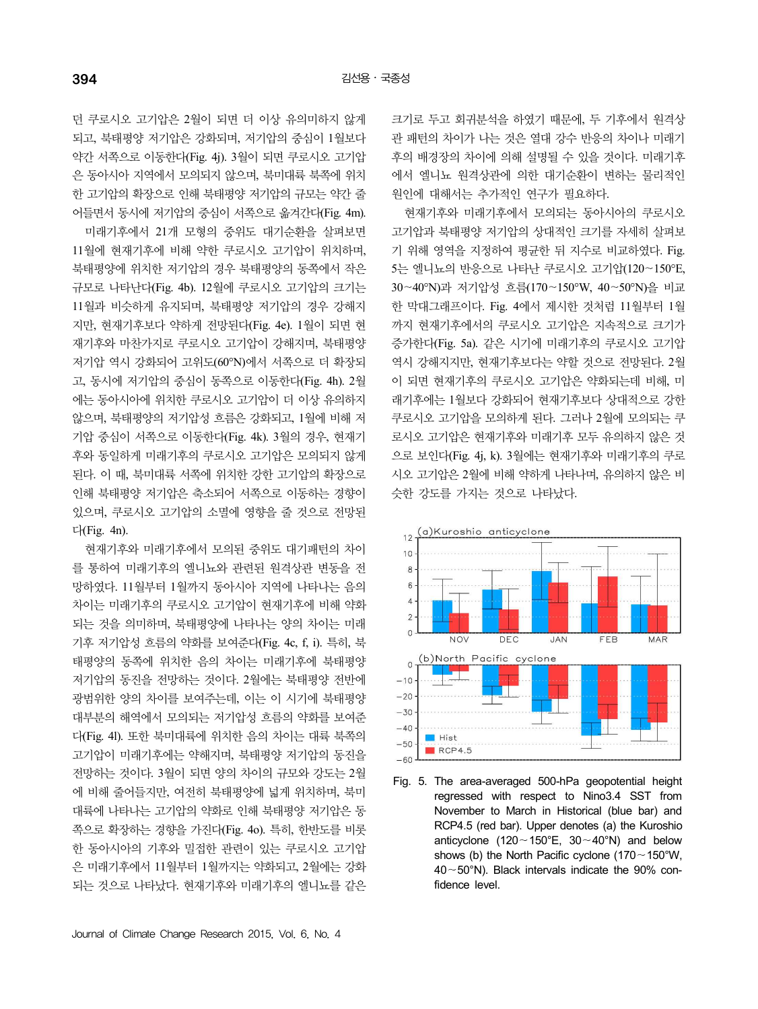던 쿠로시오 고기압은 2월이 되면 더 이상 유의미하지 않게 되고, 북태평양 저기압은 강화되며, 저기압의 중심이 1월보다 약간 서쪽으로 이동한다(Fig. 4j). 3월이 되면 쿠로시오 고기압 은 동아시아 지역에서 모의되지 않으며, 북미대륙 북쪽에 위치 한 고기압의 확장으로 인해 북태평양 저기압의 규모는 약간 줄 어들면서 동시에 저기압의 중심이 서쪽으로 옮겨간다(Fig. 4m).

미래기후에서 21개 모형의 중위도 대기순환을 살펴보면 11월에 현재기후에 비해 약한 쿠로시오 고기압이 위치하며, 북태평양에 위치한 저기압의 경우 북태평양의 동쪽에서 작은 규모로 나타난다(Fig. 4b). 12월에 쿠로시오 고기압의 크기는 11월과 비슷하게 유지되며, 북태평양 저기압의 경우 강해지 지만, 현재기후보다 약하게 전망된다(Fig. 4e). 1월이 되면 현 재기후와 마찬가지로 쿠로시오 고기압이 강해지며, 북태평양 저기압 역시 강화되어 고위도(60°N)에서 서쪽으로 더 확장되 고, 동시에 저기압의 중심이 동쪽으로 이동한다(Fig. 4h). 2월 에는 동아시아에 위치한 쿠로시오 고기압이 더 이상 유의하지 않으며, 북태평양의 저기압성 흐름은 강화되고, 1월에 비해 저 기압 중심이 서쪽으로 이동한다(Fig. 4k). 3월의 경우, 현재기 후와 동일하게 미래기후의 쿠로시오 고기압은 모의되지 않게 된다. 이 때, 북미대륙 서쪽에 위치한 강한 고기압의 확장으로 인해 북태평양 저기압은 축소되어 서쪽으로 이동하는 경향이 있으며, 쿠로시오 고기압의 소멸에 영향을 줄 것으로 전망된 다(Fig. 4n).

현재기후와 미래기후에서 모의된 중위도 대기패턴의 차이 를 통하여 미래기후의 엘니뇨와 관련된 원격상관 변동을 전 망하였다. 11월부터 1월까지 동아시아 지역에 나타나는 음의 차이는 미래기후의 쿠로시오 고기압이 현재기후에 비해 약화 되는 것을 의미하며, 북태평양에 나타나는 양의 차이는 미래 기후 저기압성 흐름의 약화를 보여준다(Fig. 4c, f, i). 특히, 북 태평양의 동쪽에 위치한 음의 차이는 미래기후에 북태평양 저기압의 동진을 전망하는 것이다. 2월에는 북태평양 전반에 광범위한 양의 차이를 보여주는데, 이는 이 시기에 북태평양 대부분의 해역에서 모의되는 저기압성 흐름의 약화를 보여준  $^{-30}$ 다(Fig. 4l). 또한 북미대륙에 위치한 음의 차이는 대륙 북쪽의 고기압이 미래기후에는 약해지며, 북태평양 저기압의 동진을 전망하는 것이다. 3월이 되면 양의 차이의 규모와 강도는 2월 에 비해 줄어들지만, 여전히 북태평양에 넓게 위치하며, 북미 대륙에 나타나는 고기압의 약화로 인해 북태평양 저기압은 동 쪽으로 확장하는 경향을 가진다(Fig. 4o). 특히, 한반도를 비롯 한 동아시아의 기후와 밀접한 관련이 있는 쿠로시오 고기압 은 미래기후에서 11월부터 1월까지는 약화되고, 2월에는 강화 되는 것으로 나타났다. 현재기후와 미래기후의 엘니뇨를 같은

크기로 두고 회귀분석을 하였기 때문에, 두 기후에서 원격상 관 패턴의 차이가 나는 것은 열대 강수 반응의 차이나 미래기 후의 배경장의 차이에 의해 설명될 수 있을 것이다. 미래기후 에서 엘니뇨 원격상관에 의한 대기순환이 변하는 물리적인 원인에 대해서는 추가적인 연구가 필요하다.

현재기후와 미래기후에서 모의되는 동아시아의 쿠로시오 고기압과 북태평양 저기압의 상대적인 크기를 자세히 살펴보 기 위해 영역을 지정하여 평균한 뒤 지수로 비교하였다. Fig. 5는 엘니뇨의 반응으로 나타난 쿠로시오 고기압(120∼150°E, 30∼40°N)과 저기압성 흐름(170∼150°W, 40∼50°N)을 비교 한 막대그래프이다. Fig. 4에서 제시한 것처럼 11월부터 1월 까지 현재기후에서의 쿠로시오 고기압은 지속적으로 크기가 증가한다(Fig. 5a). 같은 시기에 미래기후의 쿠로시오 고기압 역시 강해지지만, 현재기후보다는 약할 것으로 전망된다. 2월 이 되면 현재기후의 쿠로시오 고기압은 약화되는데 비해, 미 래기후에는 1월보다 강화되어 현재기후보다 상대적으로 강한 쿠로시오 고기압을 모의하게 된다. 그러나 2월에 모의되는 쿠 로시오 고기압은 현재기후와 미래기후 모두 유의하지 않은 것 으로 보인다(Fig. 4j, k). 3월에는 현재기후와 미래기후의 쿠로 시오 고기압은 2월에 비해 약하게 나타나며, 유의하지 않은 비 슷한 강도를 가지는 것으로 나타났다.



Fig. 5. The area-averaged 500-hPa geopotential height regressed with respect to Nino3.4 SST from November to March in Historical (blue bar) and RCP4.5 (red bar). Upper denotes (a) the Kuroshio anticyclone (120∼150°E, 30∼40°N) and below shows (b) the North Pacific cyclone (170∼150°W, 40∼50°N). Black intervals indicate the 90% confidence level.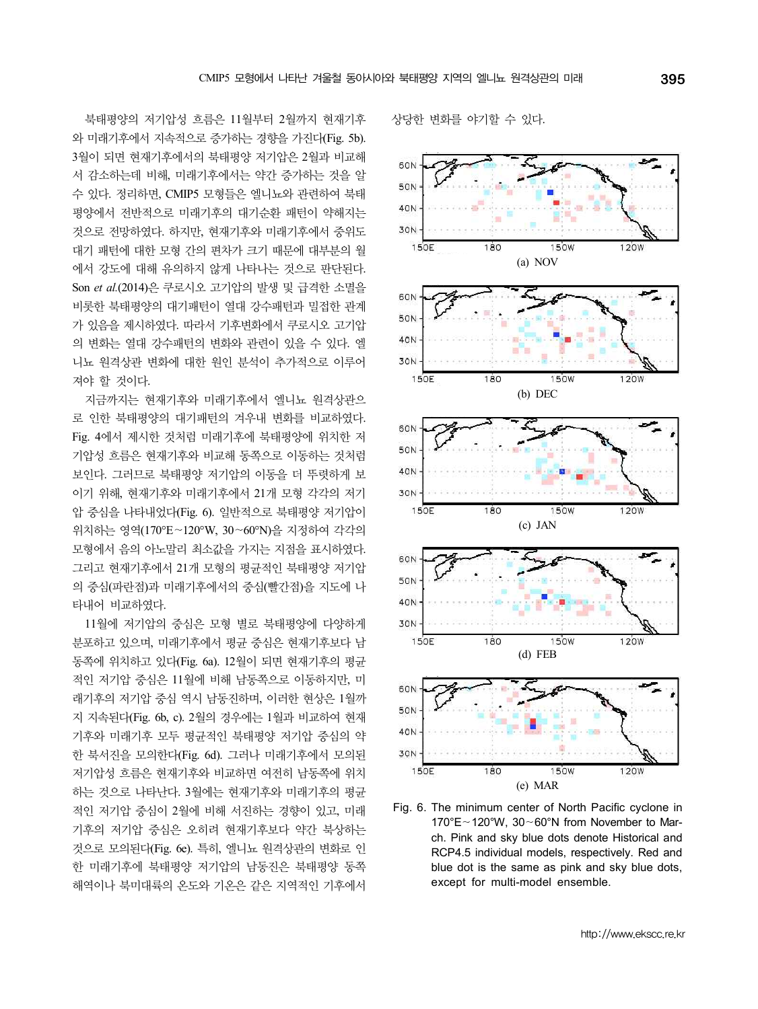북태평양의 저기압성 흐름은 11월부터 2월까지 현재기후 와 미래기후에서 지속적으로 증가하는 경향을 가진다(Fig. 5b). 3월이 되면 현재기후에서의 북태평양 저기압은 2월과 비교해 서 감소하는데 비해, 미래기후에서는 약간 증가하는 것을 알 수 있다. 정리하면, CMIP5 모형들은 엘니뇨와 관련하여 북태 평양에서 전반적으로 미래기후의 대기순환 패턴이 약해지는 40N 것으로 전망하였다. 하지만, 현재기후와 미래기후에서 중위도 대기 패턴에 대한 모형 간의 편차가 크기 때문에 대부분의 월 에서 강도에 대해 유의하지 않게 나타나는 것으로 판단된다. Son *et al.*(2014)은 쿠로시오 고기압의 발생 및 급격한 소멸을 비롯한 북태평양의 대기패턴이 열대 강수패턴과 밀접한 관계 가 있음을 제시하였다. 따라서 기후변화에서 쿠로시오 고기압 의 변화는 열대 강수패턴의 변화와 관련이 있을 수 있다. 엘 니뇨 원격상관 변화에 대한 원인 분석이 추가적으로 이루어 져야 할 것이다.

지금까지는 현재기후와 미래기후에서 엘니뇨 원격상관으 로 인한 북태평양의 대기패턴의 겨우내 변화를 비교하였다.<br>Fig. 4에서 제시한 것처럼 미래기후에 북태평양에 위치한 저 기압성 흐름은 현재기후와 비교해 동쪽으로 이동하는 것처럼 보인다. 그러므로 북태평양 저기압의 이동을 더 뚜렷하게 보 이기 위해, 현재기후와 미래기후에서 21개 모형 각각의 저기 압 중심을 나타내었다(Fig. 6). 일반적으로 북태평양 저기압이 위치하는 영역(170°E∼120°W, 30∼60°N)을 지정하여 각각의 모형에서 음의 아노말리 최소값을 가지는 지점을 표시하였다. 그리고 현재기후에서 21개 모형의 평균적인 북태평양 저기압 의 중심(파란점)과 미래기후에서의 중심(빨간점)을 지도에 나 타내어 비교하였다.

11월에 저기압의 중심은 모형 별로 북태평양에 다양하게 분포하고 있으며, 미래기후에서 평균 중심은 현재기후보다 남 동쪽에 위치하고 있다(Fig. 6a). 12월이 되면 현재기후의 평균 적인 저기압 중심은 11월에 비해 남동쪽으로 이동하지만, 미 래기후의 저기압 중심 역시 남동진하며, 이러한 현상은 1월까 지 지속된다(Fig. 6b, c). 2월의 경우에는 1월과 비교하여 현재 기후와 미래기후 모두 평균적인 북태평양 저기압 중심의 약 한 북서진을 모의한다(Fig. 6d). 그러나 미래기후에서 모의된 저기압성 흐름은 현재기후와 비교하면 여전히 남동쪽에 위치 하는 것으로 나타난다. 3월에는 현재기후와 미래기후의 평균 적인 저기압 중심이 2월에 비해 서진하는 경향이 있고, 미래 기후의 저기압 중심은 오히려 현재기후보다 약간 북상하는 것으로 모의된다(Fig. 6e). 특히, 엘니뇨 원격상관의 변화로 인 한 미래기후에 북태평양 저기압의 남동진은 북태평양 동쪽 해역이나 북미대륙의 온도와 기온은 같은 지역적인 기후에서

상당한 변화를 야기할 수 있다.



Fig. 6. The minimum center of North Pacific cyclone in 170°E∼120°W, 30∼60°N from November to March. Pink and sky blue dots denote Historical and RCP4.5 individual models, respectively. Red and blue dot is the same as pink and sky blue dots, except for multi-model ensemble.

http://www.ekscc.re.kr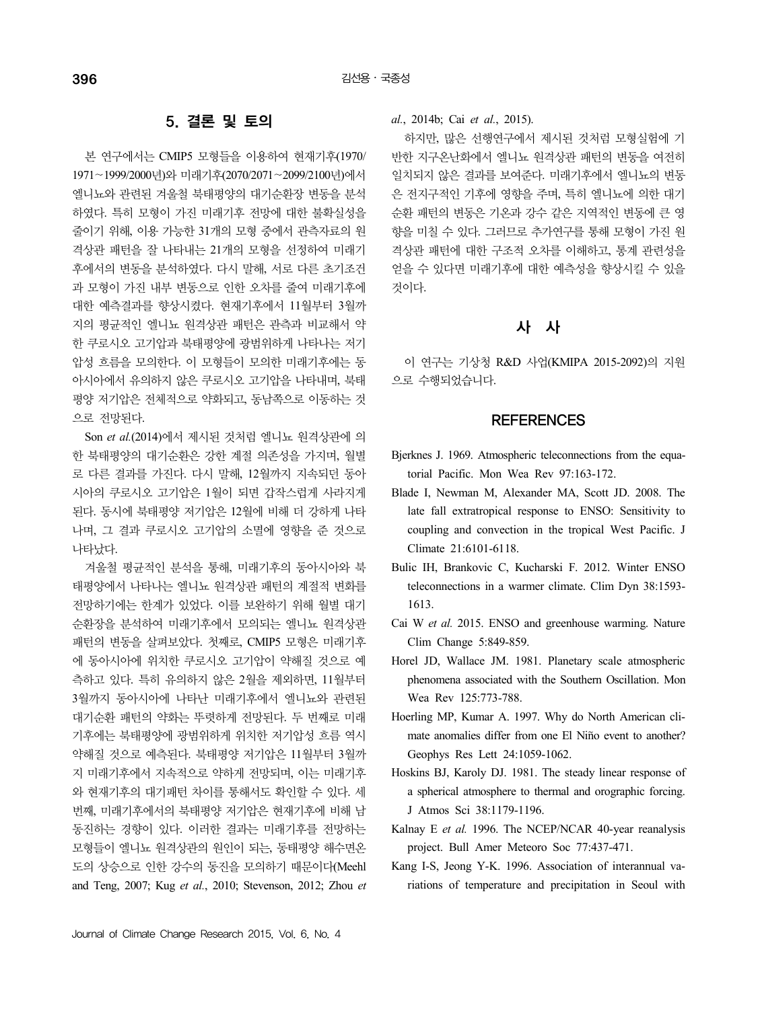## 5. 결론 및 토의

본 연구에서는 CMIP5 모형들을 이용하여 현재기후(1970/ 1971∼1999/2000년)와 미래기후(2070/2071∼2099/2100년)에서 엘니뇨와 관련된 겨울철 북태평양의 대기순환장 변동을 분석 하였다. 특히 모형이 가진 미래기후 전망에 대한 불확실성을 줄이기 위해, 이용 가능한 31개의 모형 중에서 관측자료의 원 격상관 패턴을 잘 나타내는 21개의 모형을 선정하여 미래기 후에서의 변동을 분석하였다. 다시 말해, 서로 다른 초기조건 과 모형이 가진 내부 변동으로 인한 오차를 줄여 미래기후에 대한 예측결과를 향상시켰다. 현재기후에서 11월부터 3월까 지의 평균적인 엘니뇨 원격상관 패턴은 관측과 비교해서 약 한 쿠로시오 고기압과 북태평양에 광범위하게 나타나는 저기 압성 흐름을 모의한다. 이 모형들이 모의한 미래기후에는 동 아시아에서 유의하지 않은 쿠로시오 고기압을 나타내며, 북태 평양 저기압은 전체적으로 약화되고, 동남쪽으로 이동하는 것 으로 전망된다.

Son *et al.*(2014)에서 제시된 것처럼 엘니뇨 원격상관에 의 한 북태평양의 대기순환은 강한 계절 의존성을 가지며, 월별 로 다른 결과를 가진다. 다시 말해, 12월까지 지속되던 동아 시아의 쿠로시오 고기압은 1월이 되면 갑작스럽게 사라지게 된다. 동시에 북태평양 저기압은 12월에 비해 더 강하게 나타 나며, 그 결과 쿠로시오 고기압의 소멸에 영향을 준 것으로 나타났다.

겨울철 평균적인 분석을 통해, 미래기후의 동아시아와 북 태평양에서 나타나는 엘니뇨 원격상관 패턴의 계절적 변화를 전망하기에는 한계가 있었다. 이를 보완하기 위해 월별 대기 순환장을 분석하여 미래기후에서 모의되는 엘니뇨 원격상관 패턴의 변동을 살펴보았다. 첫째로, CMIP5 모형은 미래기후 에 동아시아에 위치한 쿠로시오 고기압이 약해질 것으로 예 측하고 있다. 특히 유의하지 않은 2월을 제외하면, 11월부터 3월까지 동아시아에 나타난 미래기후에서 엘니뇨와 관련된 대기순환 패턴의 약화는 뚜렷하게 전망된다. 두 번째로 미래 기후에는 북태평양에 광범위하게 위치한 저기압성 흐름 역시 약해질 것으로 예측된다. 북태평양 저기압은 11월부터 3월까 지 미래기후에서 지속적으로 약하게 전망되며, 이는 미래기후 와 현재기후의 대기패턴 차이를 통해서도 확인할 수 있다. 세 번째, 미래기후에서의 북태평양 저기압은 현재기후에 비해 남 동진하는 경향이 있다. 이러한 결과는 미래기후를 전망하는 모형들이 엘니뇨 원격상관의 원인이 되는, 동태평양 해수면온 도의 상승으로 인한 강수의 동진을 모의하기 때문이다(Meehl and Teng, 2007; Kug *et al.*, 2010; Stevenson, 2012; Zhou *et* 

*al.*, 2014b; Cai *et al.*, 2015).

하지만, 많은 선행연구에서 제시된 것처럼 모형실험에 기 반한 지구온난화에서 엘니뇨 원격상관 패턴의 변동을 여전히 일치되지 않은 결과를 보여준다. 미래기후에서 엘니뇨의 변동 은 전지구적인 기후에 영향을 주며, 특히 엘니뇨에 의한 대기 순환 패턴의 변동은 기온과 강수 같은 지역적인 변동에 큰 영 향을 미칠 수 있다. 그러므로 추가연구를 통해 모형이 가진 원 격상관 패턴에 대한 구조적 오차를 이해하고, 통계 관련성을 얻을 수 있다면 미래기후에 대한 예측성을 향상시킬 수 있을 것이다.

## 사 사

이 연구는 기상청 R&D 사업(KMIPA 2015-2092)의 지원 으로 수행되었습니다.

## **REFERENCES**

- Bjerknes J. 1969. Atmospheric teleconnections from the equatorial Pacific. Mon Wea Rev 97:163-172.
- Blade I, Newman M, Alexander MA, Scott JD. 2008. The late fall extratropical response to ENSO: Sensitivity to coupling and convection in the tropical West Pacific. J Climate 21:6101-6118.
- Bulic IH, Brankovic C, Kucharski F. 2012. Winter ENSO teleconnections in a warmer climate. Clim Dyn 38:1593- 1613.
- Cai W *et al.* 2015. ENSO and greenhouse warming. Nature Clim Change 5:849-859.
- Horel JD, Wallace JM. 1981. Planetary scale atmospheric phenomena associated with the Southern Oscillation. Mon Wea Rev 125:773-788.
- Hoerling MP, Kumar A. 1997. Why do North American climate anomalies differ from one El Niño event to another? Geophys Res Lett 24:1059-1062.
- a spherical atmosphere to thermal and orographic forcing. J Atmos Sci 38:1179-1196.
- Kalnay E et al. 1996. The NCEP/NCAR 40-year reanalysis project. Bull Amer Meteoro Soc 77:437-471.
- Kang I-S, Jeong Y-K. 1996. Association of interannual variations of temperature and precipitation in Seoul with